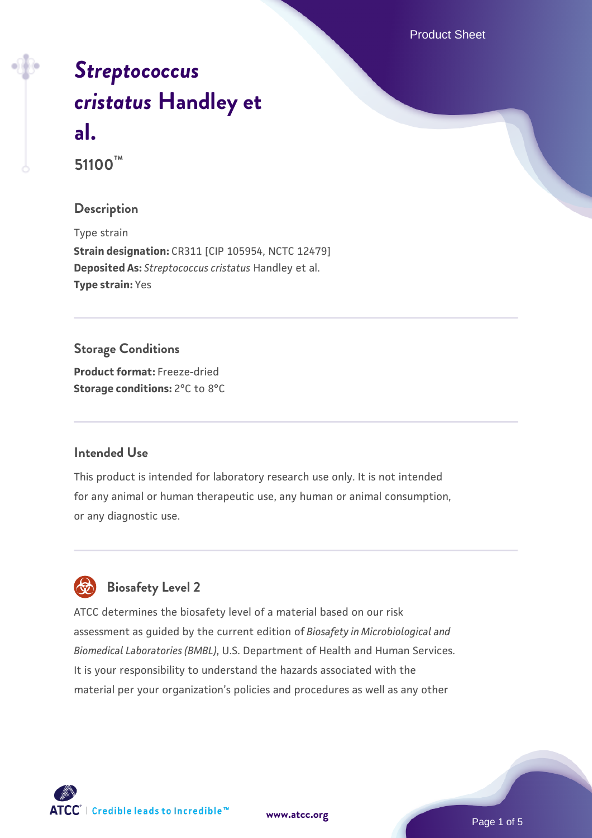Product Sheet

# *[Streptococcus](https://www.atcc.org/products/51100) [cristatus](https://www.atcc.org/products/51100)* **[Handley et](https://www.atcc.org/products/51100) [al.](https://www.atcc.org/products/51100) 51100™**

#### **Description**

Type strain **Strain designation:** CR311 [CIP 105954, NCTC 12479] **Deposited As:** *Streptococcus cristatus* Handley et al. **Type strain:** Yes

# **Storage Conditions Product format:** Freeze-dried **Storage conditions:** 2°C to 8°C

#### **Intended Use**

This product is intended for laboratory research use only. It is not intended for any animal or human therapeutic use, any human or animal consumption, or any diagnostic use.



# **Biosafety Level 2**

ATCC determines the biosafety level of a material based on our risk assessment as guided by the current edition of *Biosafety in Microbiological and Biomedical Laboratories (BMBL)*, U.S. Department of Health and Human Services. It is your responsibility to understand the hazards associated with the material per your organization's policies and procedures as well as any other



**[www.atcc.org](http://www.atcc.org)**

Page 1 of 5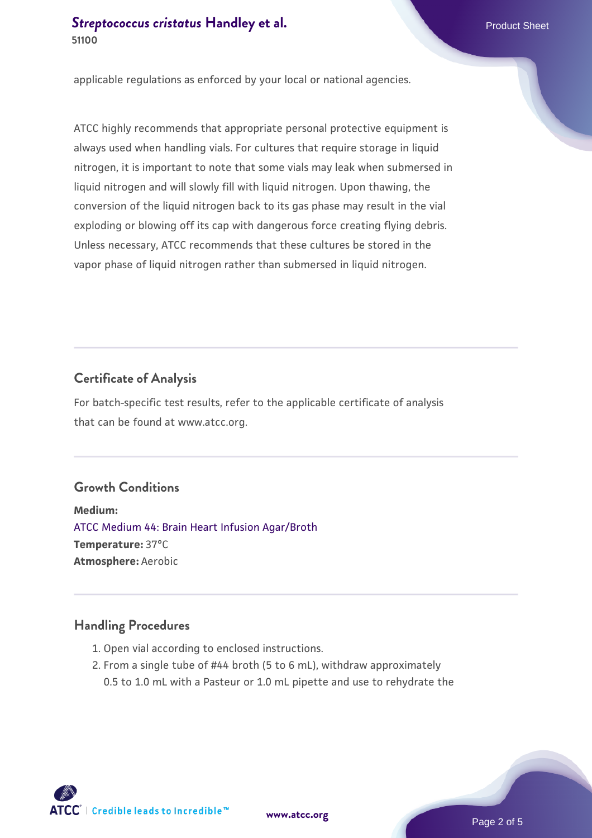applicable regulations as enforced by your local or national agencies.

ATCC highly recommends that appropriate personal protective equipment is always used when handling vials. For cultures that require storage in liquid nitrogen, it is important to note that some vials may leak when submersed in liquid nitrogen and will slowly fill with liquid nitrogen. Upon thawing, the conversion of the liquid nitrogen back to its gas phase may result in the vial exploding or blowing off its cap with dangerous force creating flying debris. Unless necessary, ATCC recommends that these cultures be stored in the vapor phase of liquid nitrogen rather than submersed in liquid nitrogen.

# **Certificate of Analysis**

For batch-specific test results, refer to the applicable certificate of analysis that can be found at www.atcc.org.

# **Growth Conditions**

**Medium:**  [ATCC Medium 44: Brain Heart Infusion Agar/Broth](https://www.atcc.org/-/media/product-assets/documents/microbial-media-formulations/4/4/atcc-medium-44.pdf?rev=ce06ac4e5438493b896cd46c7d875629) **Temperature:** 37°C **Atmosphere:** Aerobic

## **Handling Procedures**

- 1. Open vial according to enclosed instructions.
- 2. From a single tube of #44 broth (5 to 6 mL), withdraw approximately 0.5 to 1.0 mL with a Pasteur or 1.0 mL pipette and use to rehydrate the

 $\mathsf{ATCC}^{\dagger} \mid \mathsf{Credible}\$  leads to Incredible  $\mathsf{m}$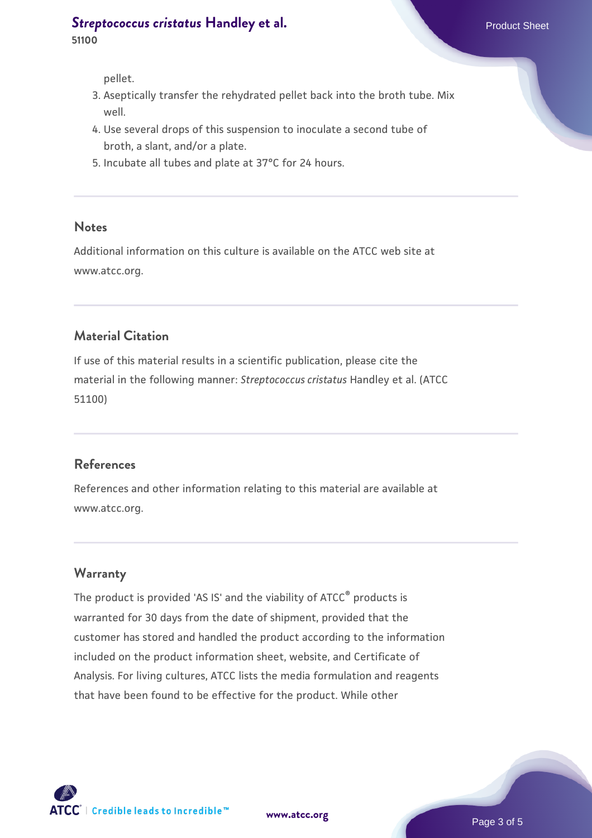- 3. Aseptically transfer the rehydrated pellet back into the broth tube. Mix well.
- 4. Use several drops of this suspension to inoculate a second tube of broth, a slant, and/or a plate.
- 5. Incubate all tubes and plate at 37°C for 24 hours.

#### **Notes**

Additional information on this culture is available on the ATCC web site at www.atcc.org.

## **Material Citation**

If use of this material results in a scientific publication, please cite the material in the following manner: *Streptococcus cristatus* Handley et al. (ATCC 51100)

#### **References**

References and other information relating to this material are available at www.atcc.org.

## **Warranty**

The product is provided 'AS IS' and the viability of ATCC® products is warranted for 30 days from the date of shipment, provided that the customer has stored and handled the product according to the information included on the product information sheet, website, and Certificate of Analysis. For living cultures, ATCC lists the media formulation and reagents that have been found to be effective for the product. While other

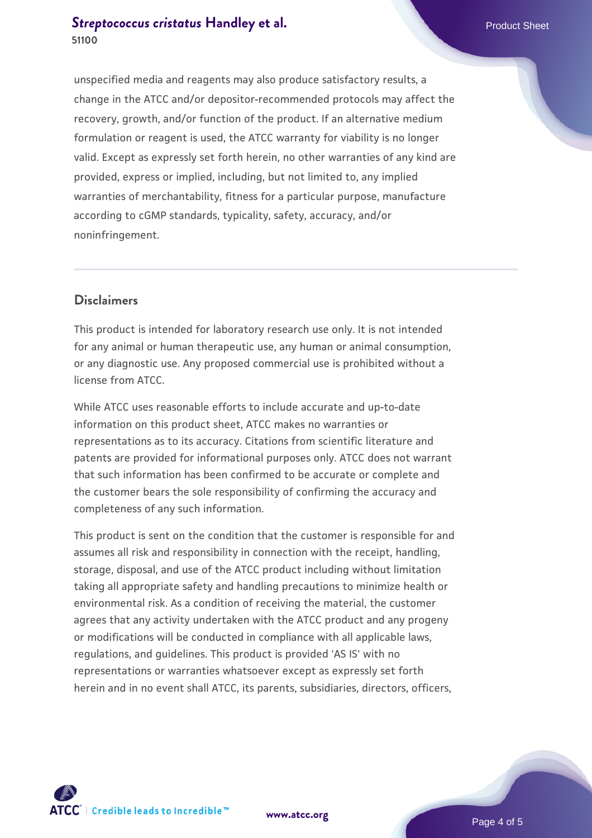unspecified media and reagents may also produce satisfactory results, a change in the ATCC and/or depositor-recommended protocols may affect the recovery, growth, and/or function of the product. If an alternative medium formulation or reagent is used, the ATCC warranty for viability is no longer valid. Except as expressly set forth herein, no other warranties of any kind are provided, express or implied, including, but not limited to, any implied warranties of merchantability, fitness for a particular purpose, manufacture according to cGMP standards, typicality, safety, accuracy, and/or noninfringement.

#### **Disclaimers**

This product is intended for laboratory research use only. It is not intended for any animal or human therapeutic use, any human or animal consumption, or any diagnostic use. Any proposed commercial use is prohibited without a license from ATCC.

While ATCC uses reasonable efforts to include accurate and up-to-date information on this product sheet, ATCC makes no warranties or representations as to its accuracy. Citations from scientific literature and patents are provided for informational purposes only. ATCC does not warrant that such information has been confirmed to be accurate or complete and the customer bears the sole responsibility of confirming the accuracy and completeness of any such information.

This product is sent on the condition that the customer is responsible for and assumes all risk and responsibility in connection with the receipt, handling, storage, disposal, and use of the ATCC product including without limitation taking all appropriate safety and handling precautions to minimize health or environmental risk. As a condition of receiving the material, the customer agrees that any activity undertaken with the ATCC product and any progeny or modifications will be conducted in compliance with all applicable laws, regulations, and guidelines. This product is provided 'AS IS' with no representations or warranties whatsoever except as expressly set forth herein and in no event shall ATCC, its parents, subsidiaries, directors, officers,